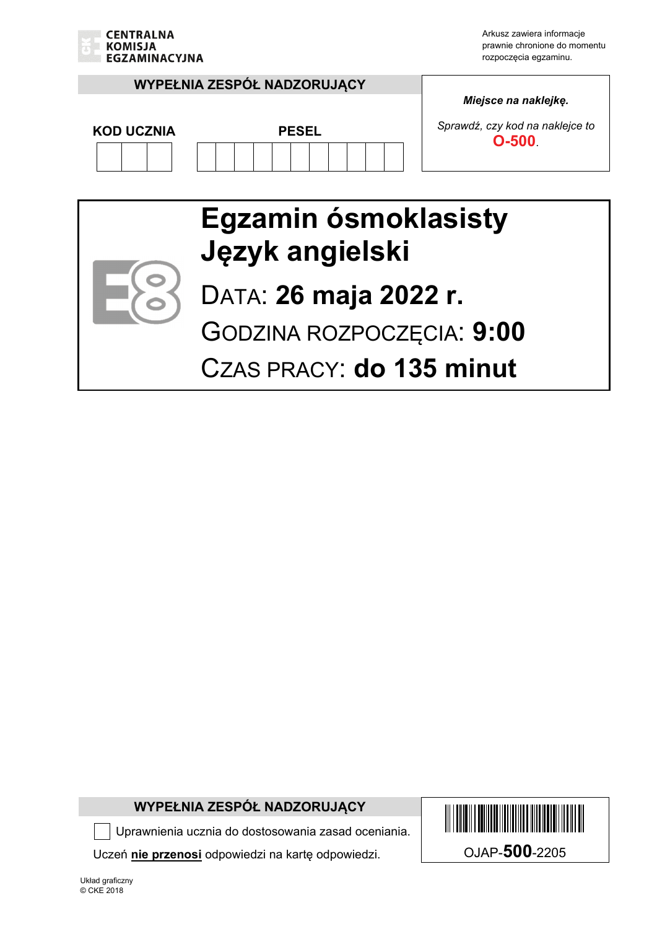

Arkusz zawiera informacje prawnie chronione do momentu rozpoczęcia egzaminu.

#### **WYPEŁNIA ZESPÓŁ NADZORUJĄCY**



*Miejsce na naklejkę.* 

*Sprawdź, czy kod na naklejce to*  **COD UCZNIA PESEL** PESEL PESEL **D-500**.

### **Egzamin ósmoklasisty Język angielski**



# DATA: **26 maja 2022 r.**

GODZINA ROZPOCZĘCIA: **9:00** 

CZAS PRACY: **do 135 minut**

#### **WYPEŁNIA ZESPÓŁ NADZORUJĄCY**

Uprawnienia ucznia do dostosowania zasad oceniania.

Uczeń **nie przenosi** odpowiedzi na kartę odpowiedzi. OJAP-**500**-2205

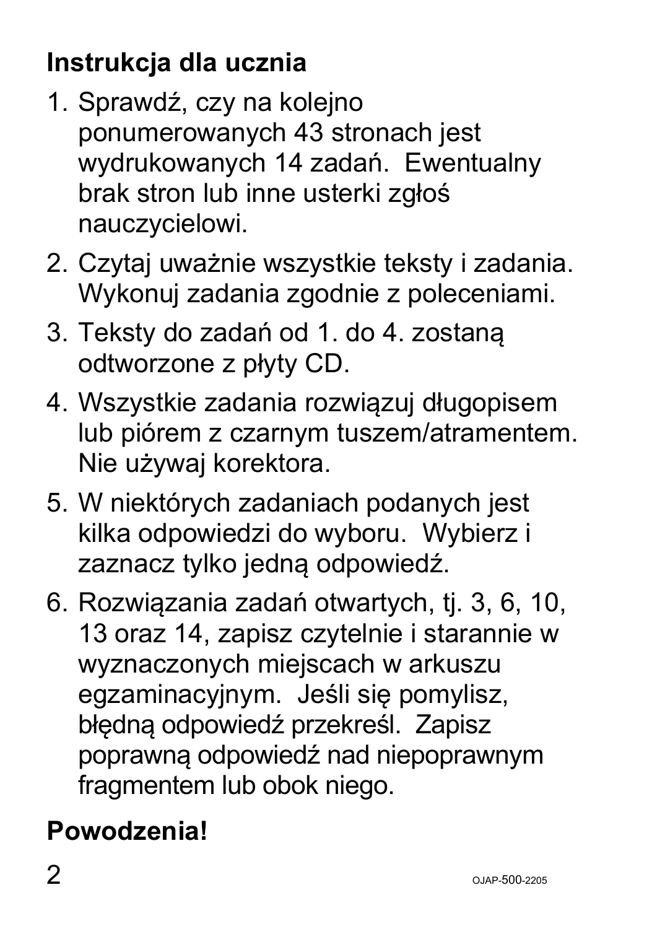# **Instrukcja dla ucznia**

- 1. Sprawdź, czy na kolejno ponumerowanych 43 stronach jest wydrukowanych 14 zadań. Ewentualny brak stron lub inne usterki zgłoś nauczycielowi.
- 2. Czytaj uważnie wszystkie teksty i zadania. Wykonuj zadania zgodnie z poleceniami.
- 3. Teksty do zadań od 1. do 4. zostaną odtworzone z płyty CD.
- 4. Wszystkie zadania rozwiązuj długopisem lub piórem z czarnym tuszem/atramentem. Nie używaj korektora.
- 5. W niektórych zadaniach podanych jest kilka odpowiedzi do wyboru. Wybierz i zaznacz tylko jedną odpowiedź.
- 6. Rozwiązania zadań otwartych, tj. 3, 6, 10, 13 oraz 14, zapisz czytelnie i starannie w wyznaczonych miejscach w arkuszu egzaminacyjnym. Jeśli się pomylisz, błędną odpowiedź przekreśl. Zapisz poprawną odpowiedź nad niepoprawnym fragmentem lub obok niego.

# **Powodzenia!**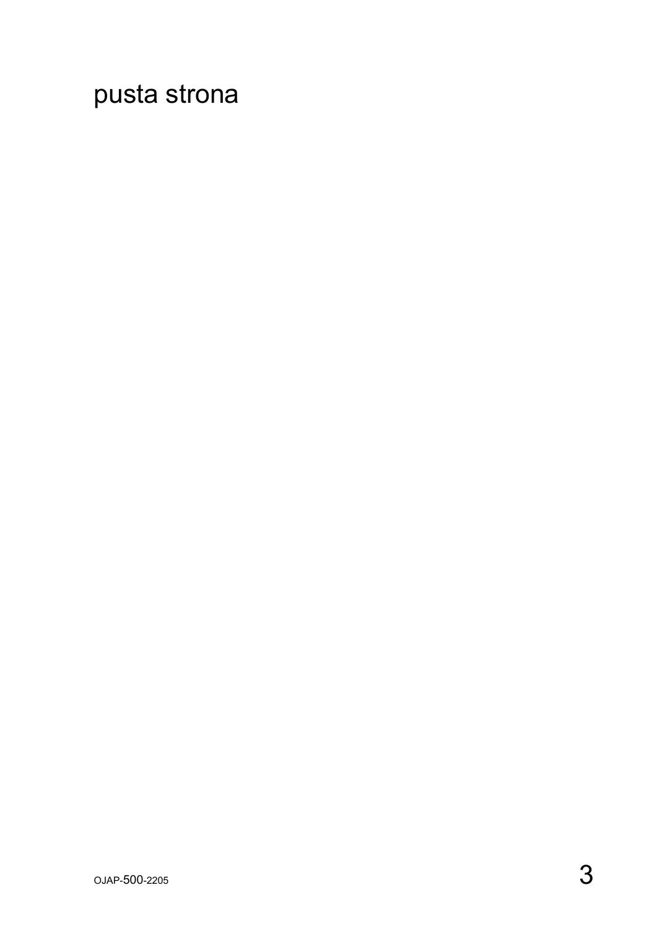pusta strona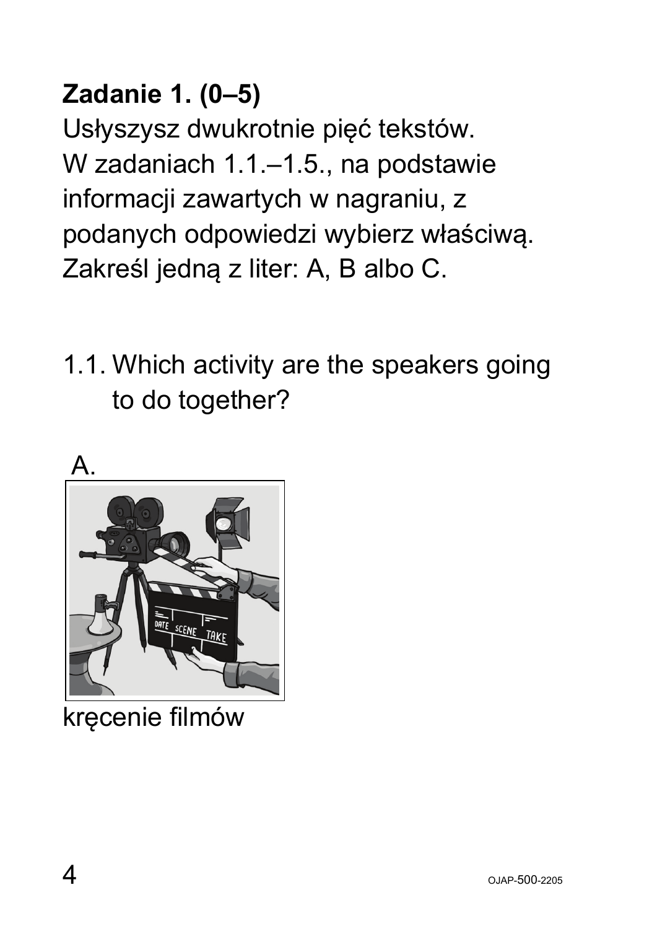### **Zadanie 1. (0–5)**

Usłyszysz dwukrotnie pięć tekstów. W zadaniach 1.1.–1.5., na podstawie informacji zawartych w nagraniu, z podanych odpowiedzi wybierz właściwą. Zakreśl jedną z liter: A, B albo C.

1.1. Which activity are the speakers going to do together?



kręcenie filmów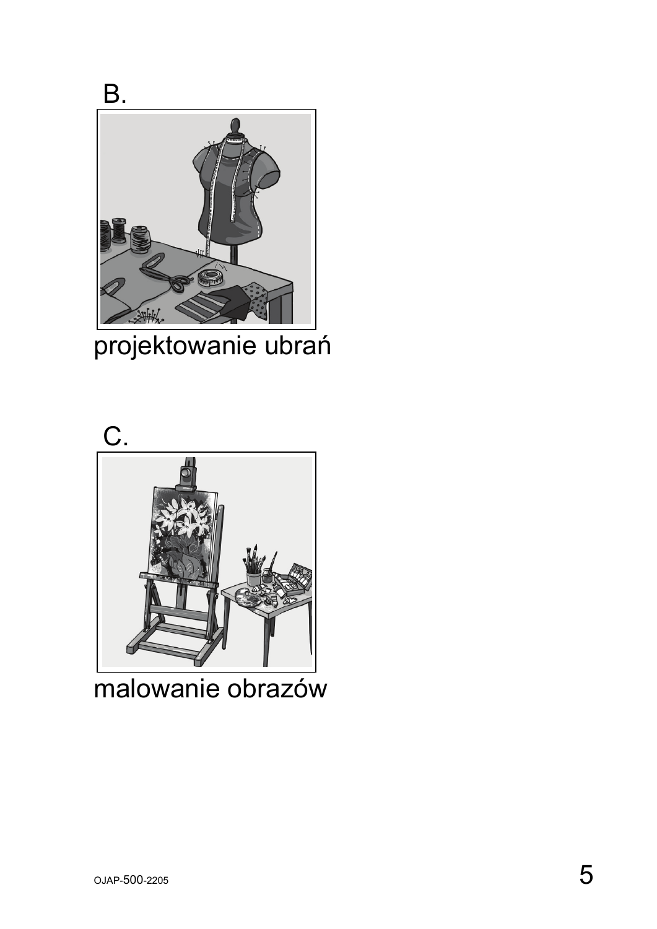

projektowanie ubrań



malowanie obrazów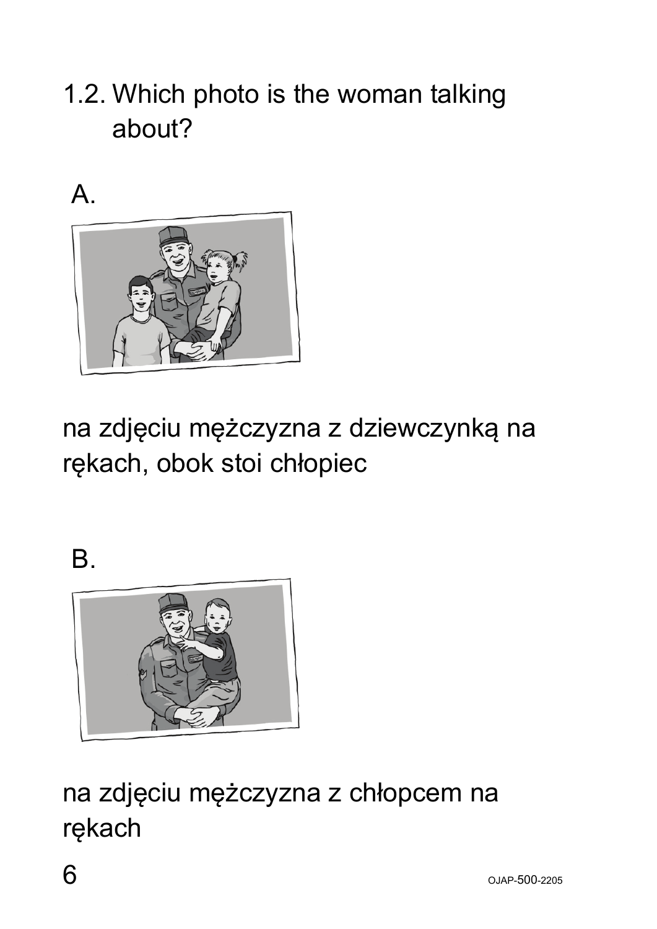### 1.2. Which photo is the woman talking about?





na zdjęciu mężczyzna z dziewczynką na rękach, obok stoi chłopiec

B.



na zdjęciu mężczyzna z chłopcem na rękach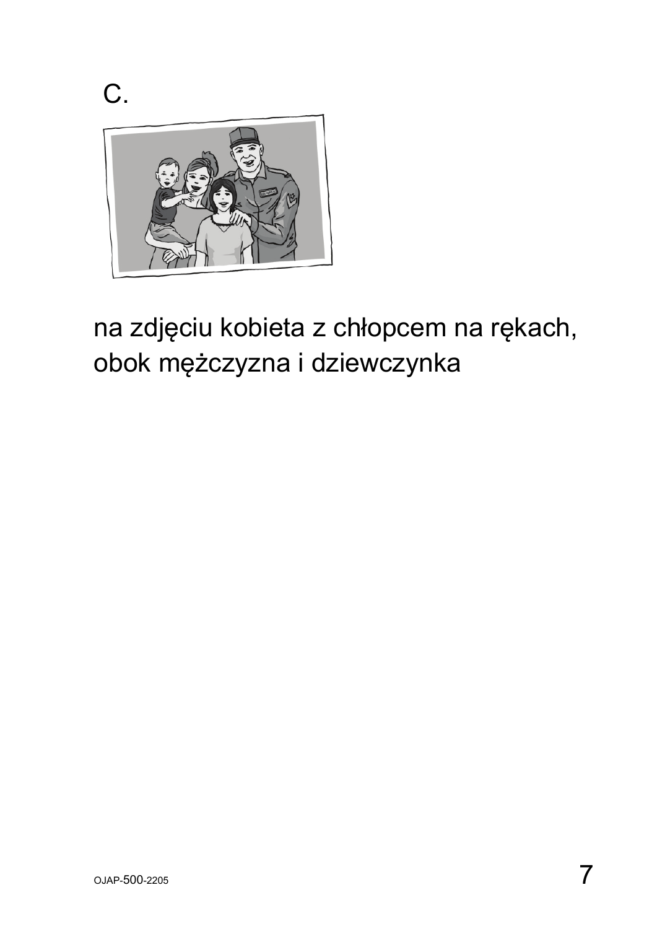C.



#### na zdjęciu kobieta z chłopcem na rękach, obok mężczyzna i dziewczynka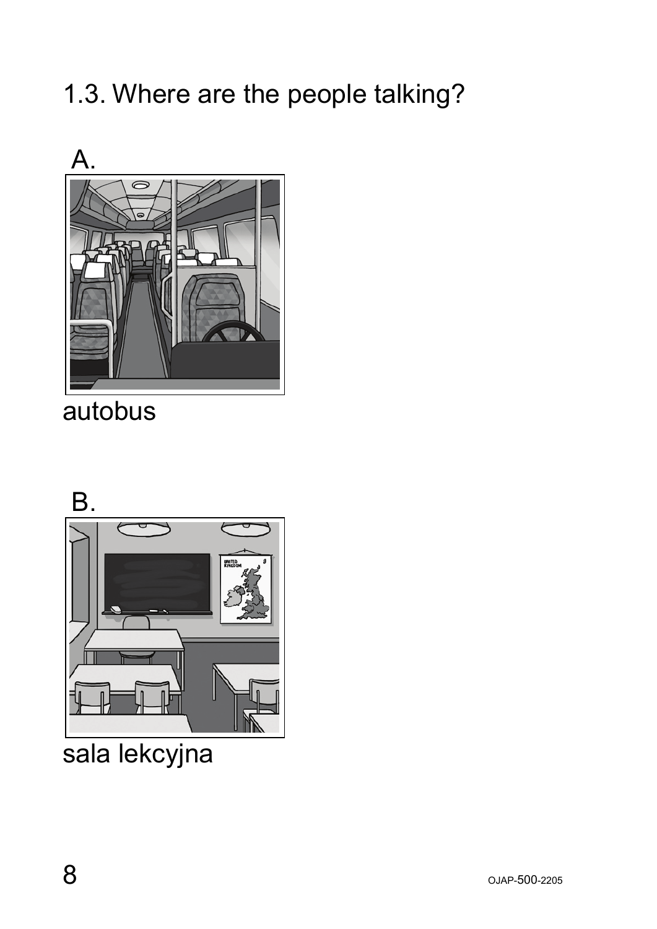$8$  OJAP-500-2205

#### 1.3. Where are the people talking?



autobus



sala lekcyjna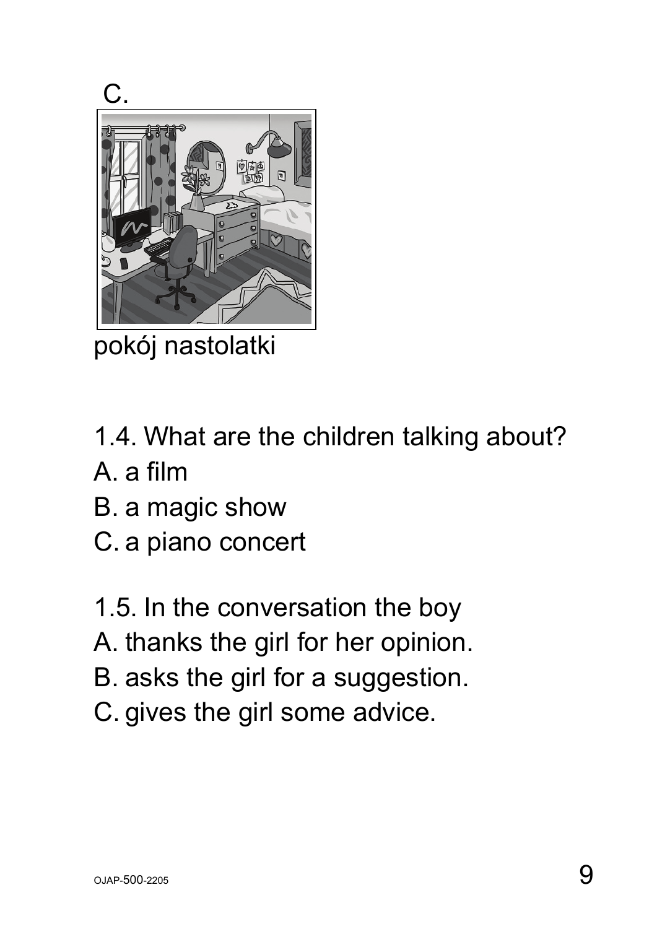

pokój nastolatki

- 1.4. What are the children talking about?
- A. a film
- B. a magic show
- C. a piano concert
- 1.5. In the conversation the boy
- A. thanks the girl for her opinion.
- B. asks the girl for a suggestion.
- C. gives the girl some advice.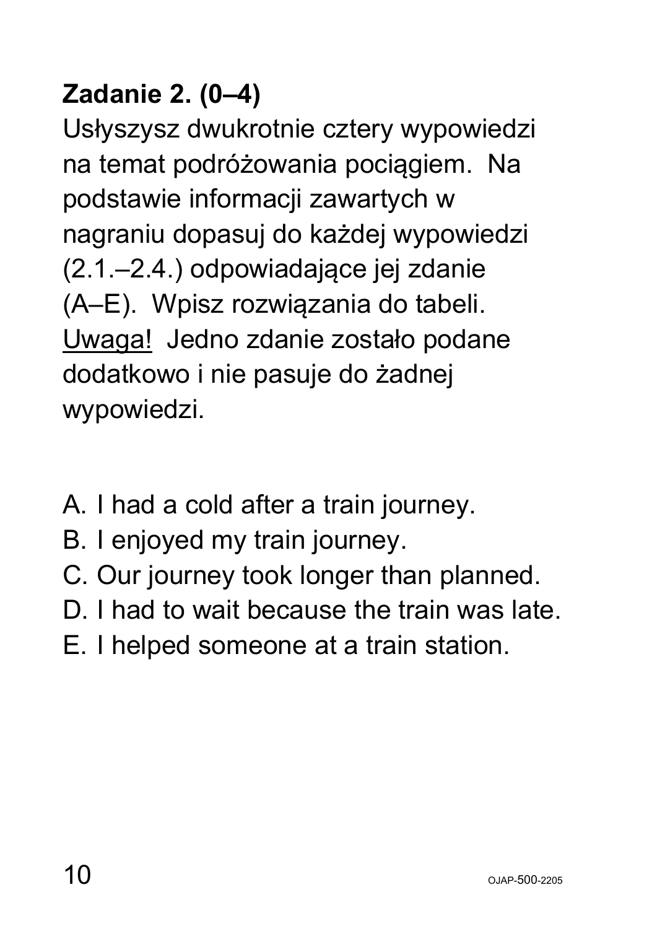### **Zadanie 2. (0–4)**

Usłyszysz dwukrotnie cztery wypowiedzi na temat podróżowania pociągiem. Na podstawie informacji zawartych w nagraniu dopasuj do każdej wypowiedzi (2.1.–2.4.) odpowiadające jej zdanie (A–E). Wpisz rozwiązania do tabeli. Uwaga! Jedno zdanie zostało podane dodatkowo i nie pasuje do żadnej wypowiedzi.

- A. I had a cold after a train journey.
- B. I enjoyed my train journey.
- C. Our journey took longer than planned.
- D. I had to wait because the train was late.
- E. I helped someone at a train station.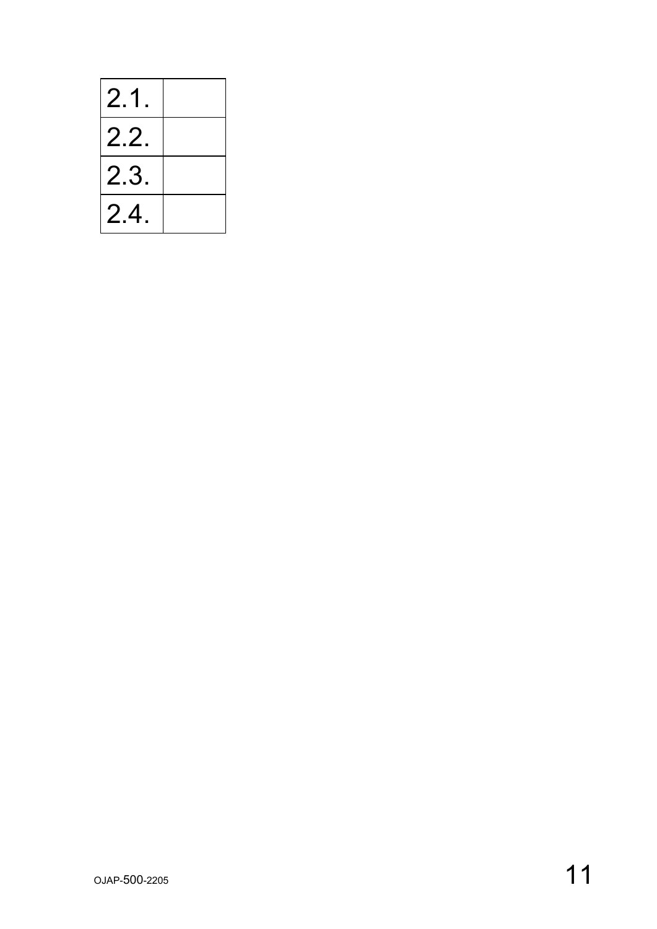| 2.1  |  |
|------|--|
| 2.2  |  |
| 2.3. |  |
| 2.4  |  |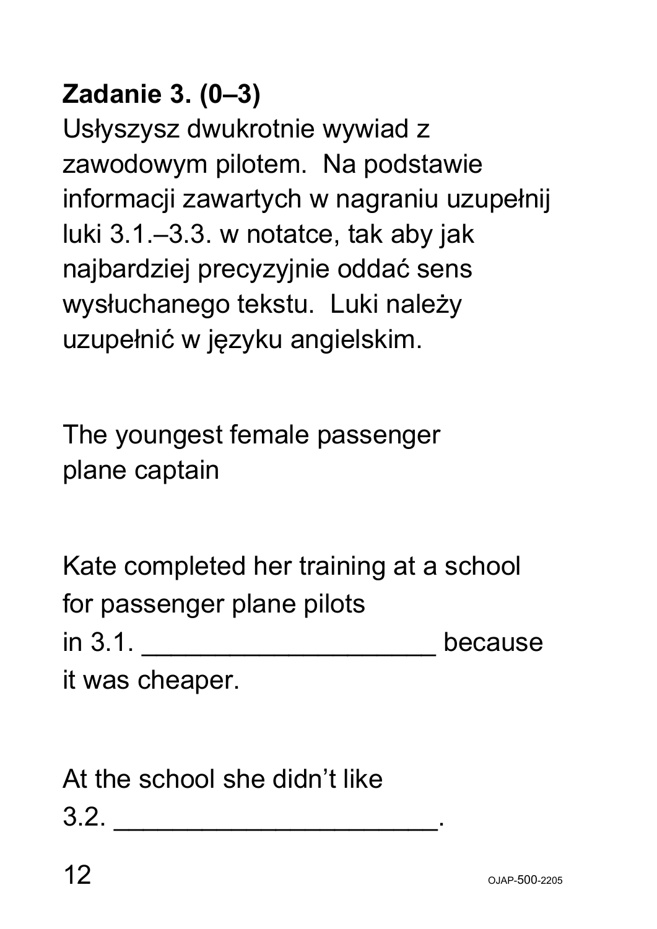#### **Zadanie 3. (0–3)**

Usłyszysz dwukrotnie wywiad z zawodowym pilotem. Na podstawie informacji zawartych w nagraniu uzupełnij luki 3.1.–3.3. w notatce, tak aby jak najbardziej precyzyjnie oddać sens wysłuchanego tekstu. Luki należy uzupełnić w języku angielskim.

The youngest female passenger plane captain

| Kate completed her training at a school |         |
|-----------------------------------------|---------|
| for passenger plane pilots              |         |
| in 3.1.                                 | because |
| it was cheaper.                         |         |

At the school she didn't like  $3.2.$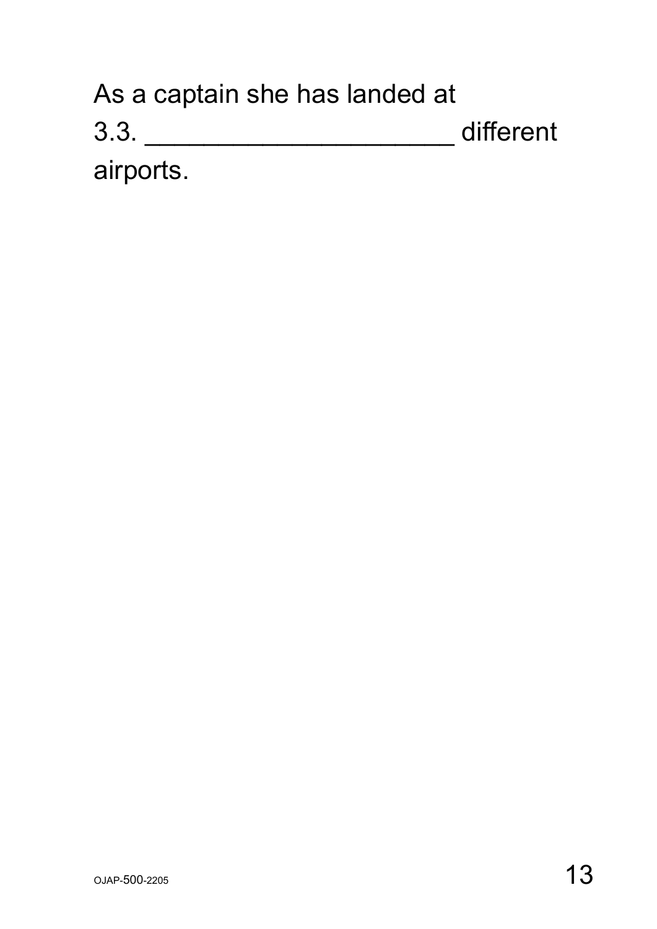| As a captain she has landed at |           |
|--------------------------------|-----------|
| 3.3.                           | different |
| airports.                      |           |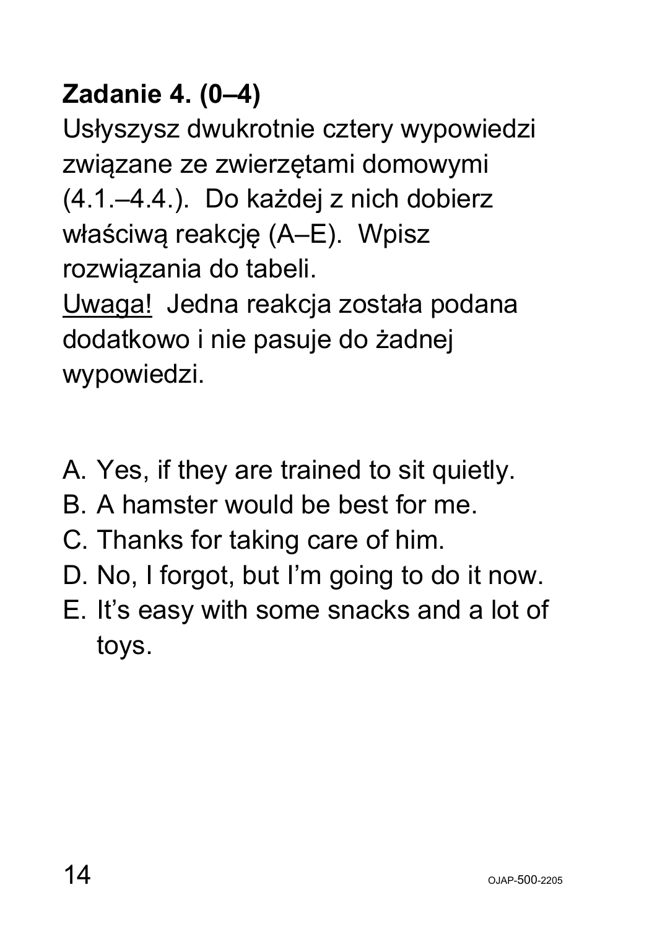### **Zadanie 4. (0–4)**

Usłyszysz dwukrotnie cztery wypowiedzi związane ze zwierzętami domowymi (4.1.–4.4.). Do każdej z nich dobierz właściwą reakcję (A–E). Wpisz rozwiązania do tabeli. Uwaga! Jedna reakcja została podana dodatkowo i nie pasuje do żadnej wypowiedzi.

- A. Yes, if they are trained to sit quietly.
- B. A hamster would be best for me.
- C. Thanks for taking care of him.
- D. No, I forgot, but I'm going to do it now.
- E. It's easy with some snacks and a lot of toys.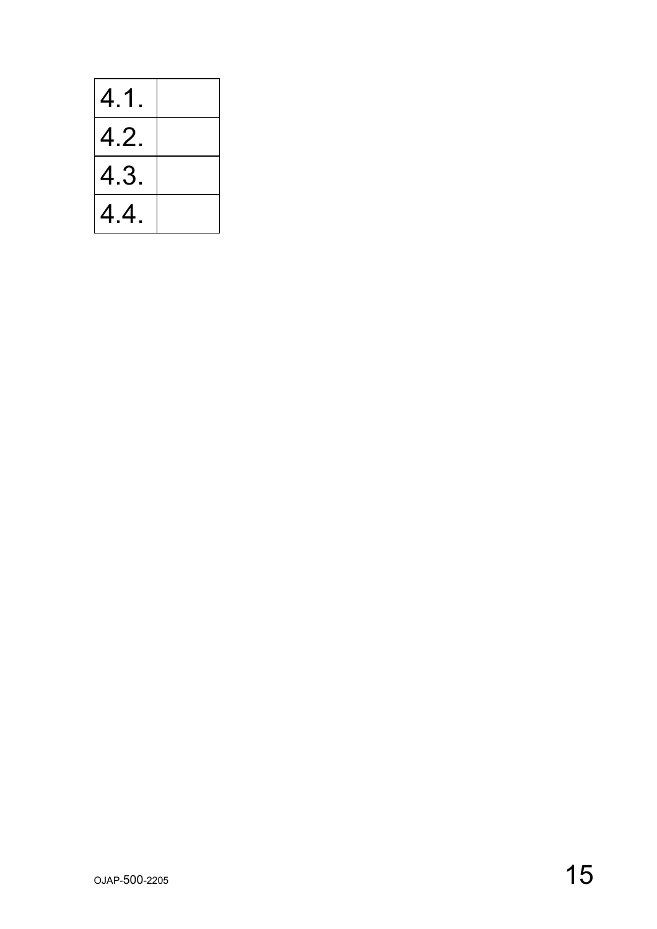| 4.1  |  |
|------|--|
| 4.2  |  |
| 4.3. |  |
| 4.4. |  |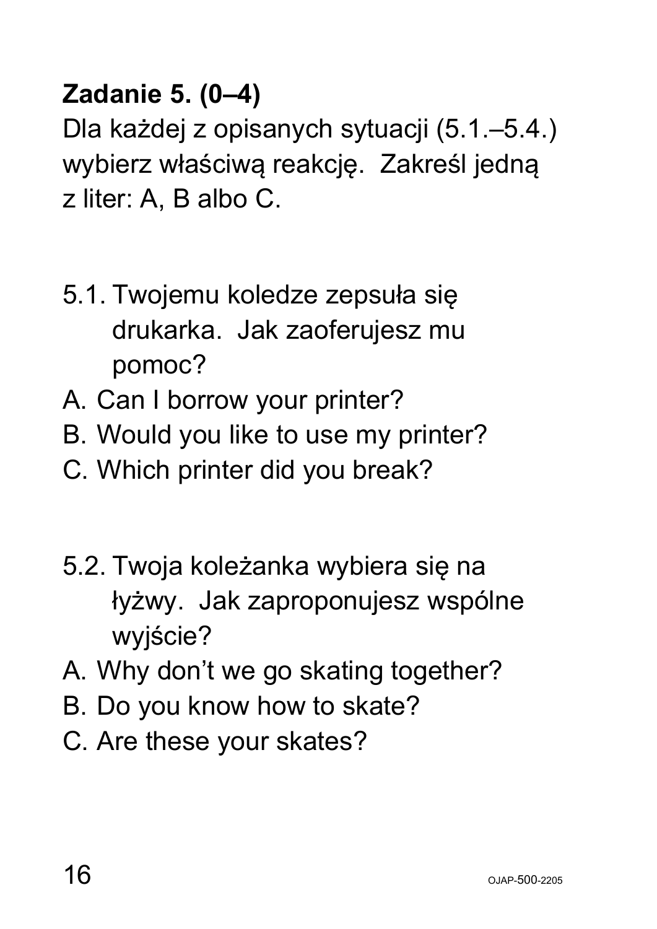#### **Zadanie 5. (0–4)**

Dla każdej z opisanych sytuacji (5.1.–5.4.) wybierz właściwą reakcję. Zakreśl jedną z liter: A, B albo C.

- 5.1. Twojemu koledze zepsuła się drukarka. Jak zaoferujesz mu pomoc?
- A. Can I borrow your printer?
- B. Would you like to use my printer?
- C. Which printer did you break?
- 5.2. Twoja koleżanka wybiera się na łyżwy. Jak zaproponujesz wspólne wyjście?
- A. Why don't we go skating together?
- B. Do you know how to skate?
- C. Are these your skates?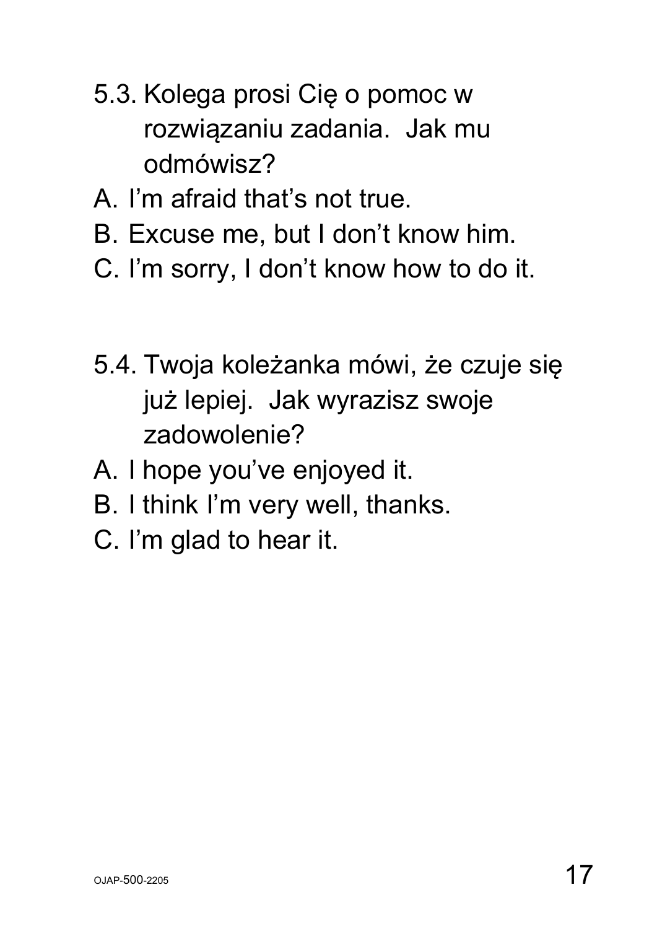- 5.3. Kolega prosi Cię o pomoc w rozwiązaniu zadania. Jak mu odmówisz?
- A. I'm afraid that's not true.
- B. Excuse me, but I don't know him.
- C. I'm sorry, I don't know how to do it.
- 5.4. Twoja koleżanka mówi, że czuje się już lepiej. Jak wyrazisz swoje zadowolenie?
- A. I hope you've enjoyed it.
- B. I think I'm very well, thanks.
- C. I'm glad to hear it.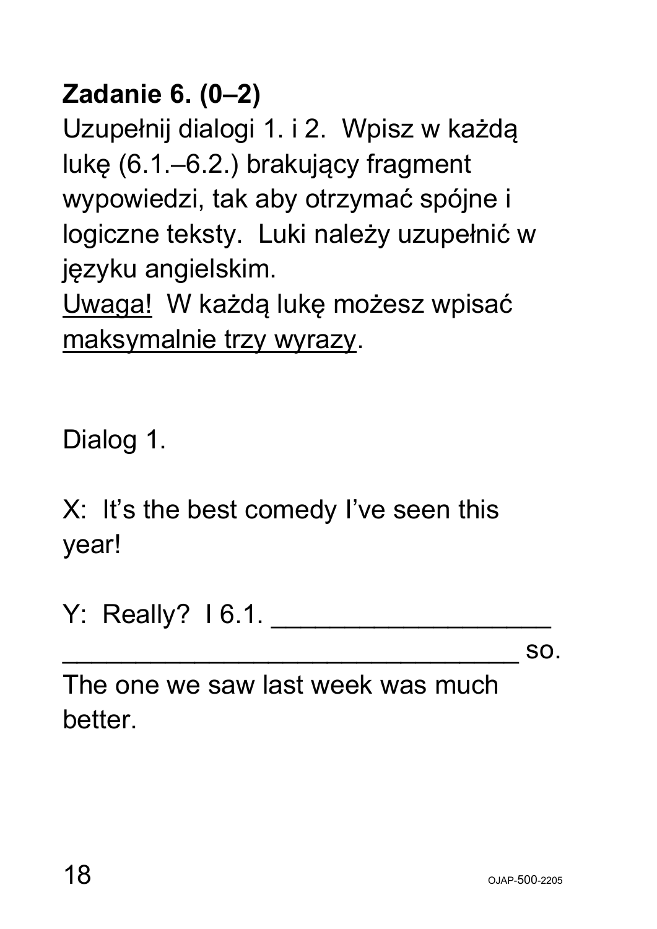### **Zadanie 6. (0–2)**

Uzupełnij dialogi 1. i 2. Wpisz w każdą lukę (6.1.–6.2.) brakujący fragment wypowiedzi, tak aby otrzymać spójne i logiczne teksty. Luki należy uzupełnić w języku angielskim.

Uwaga! W każdą lukę możesz wpisać maksymalnie trzy wyrazy.

Dialog 1.

X: It's the best comedy I've seen this year!

Y: Really? I 6.1. \_\_\_\_\_\_\_\_\_\_\_\_\_\_\_\_\_\_\_

 $\sim$  SO.

The one we saw last week was much better.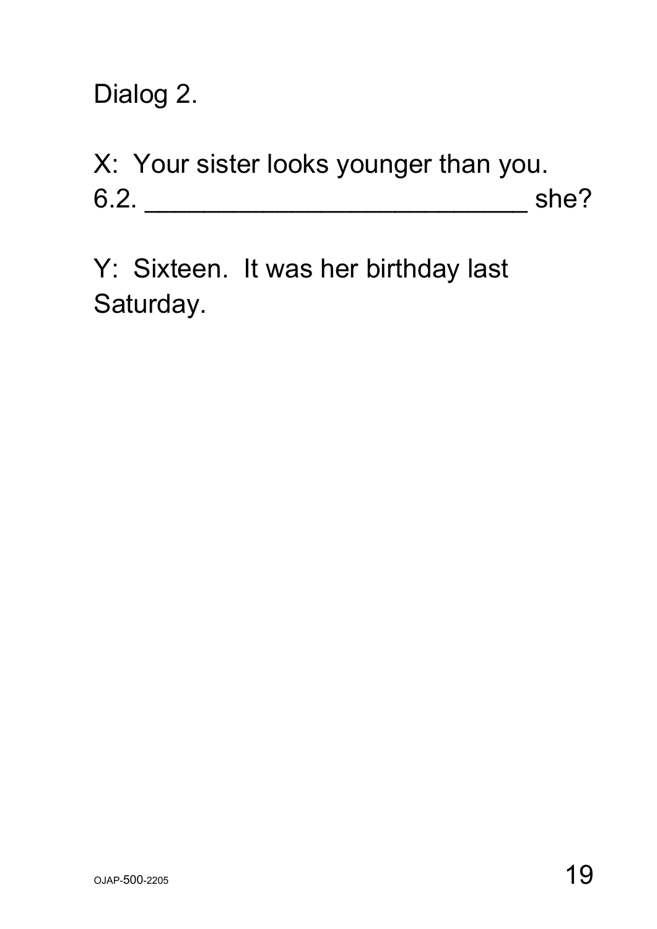Dialog 2.

X: Your sister looks younger than you. 6.2. \_\_\_\_\_\_\_\_\_\_\_\_\_\_\_\_\_\_\_\_\_\_\_\_\_\_ she?

Y: Sixteen. It was her birthday last Saturday.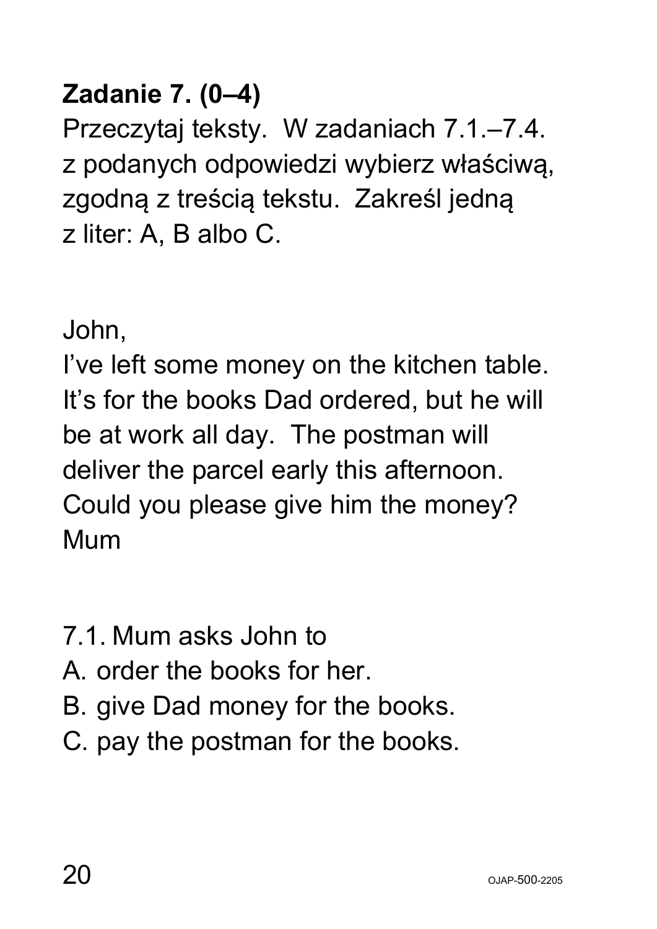#### **Zadanie 7. (0–4)**

Przeczytaj teksty. W zadaniach 7.1.–7.4. z podanych odpowiedzi wybierz właściwą, zgodną z treścią tekstu. Zakreśl jedną z liter: A, B albo C.

John,

I've left some money on the kitchen table. It's for the books Dad ordered, but he will be at work all day. The postman will deliver the parcel early this afternoon. Could you please give him the money? Mum

- 7.1. Mum asks John to
- A. order the books for her.
- B. give Dad money for the books.
- C. pay the postman for the books.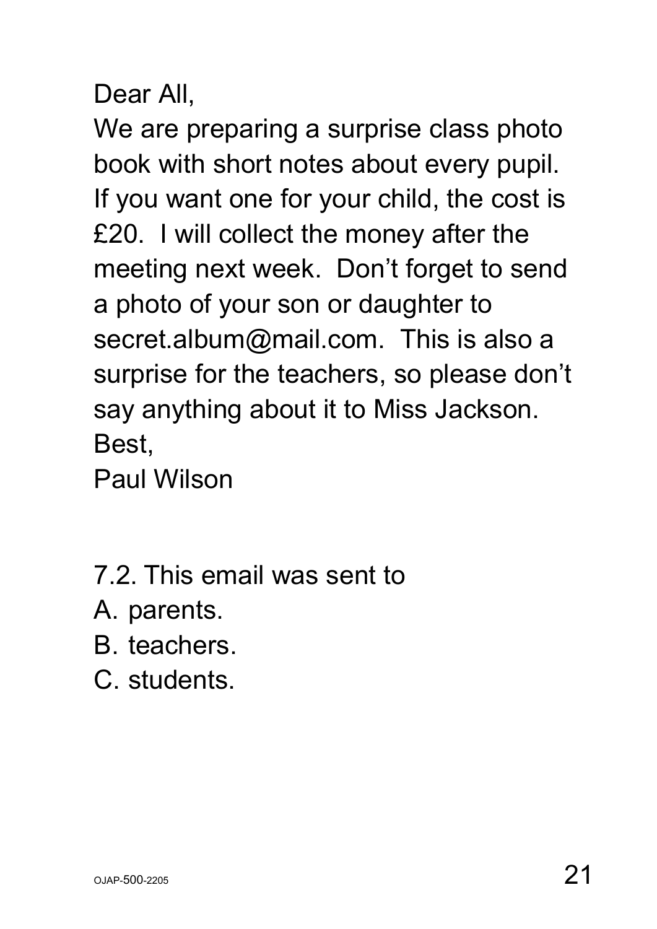Dear All,

We are preparing a surprise class photo book with short notes about every pupil. If you want one for your child, the cost is £20. I will collect the money after the meeting next week. Don't forget to send a photo of your son or daughter to secret.album@mail.com. This is also a surprise for the teachers, so please don't say anything about it to Miss Jackson. Best,

Paul Wilson

- 7.2. This email was sent to
- A. parents.
- B. teachers.
- C. students.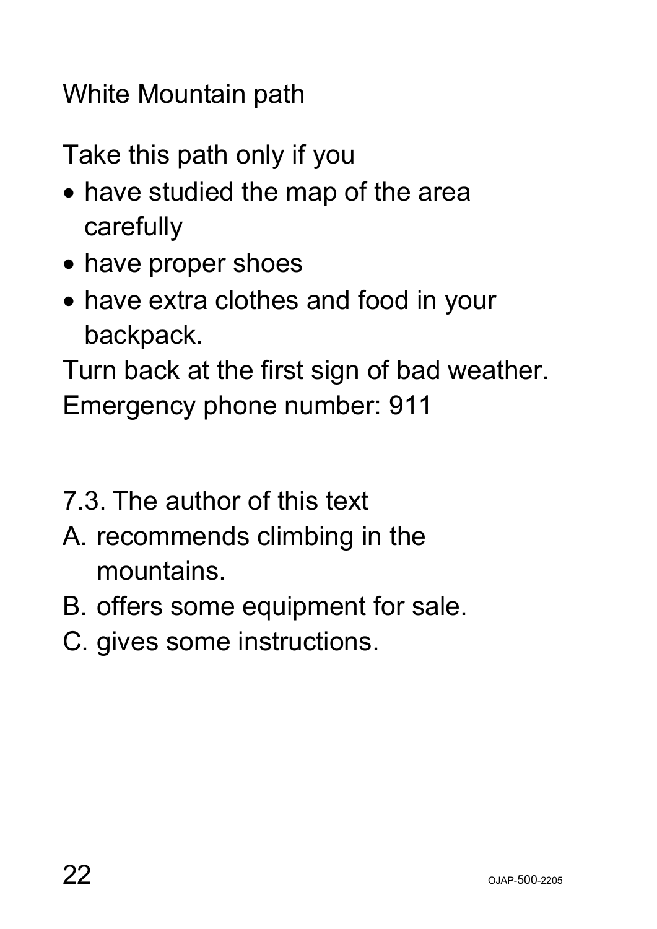White Mountain path

Take this path only if you

- have studied the map of the area carefully
- have proper shoes
- have extra clothes and food in your backpack.

Turn back at the first sign of bad weather. Emergency phone number: 911

- 7.3. The author of this text
- A. recommends climbing in the mountains.
- B. offers some equipment for sale.
- C. gives some instructions.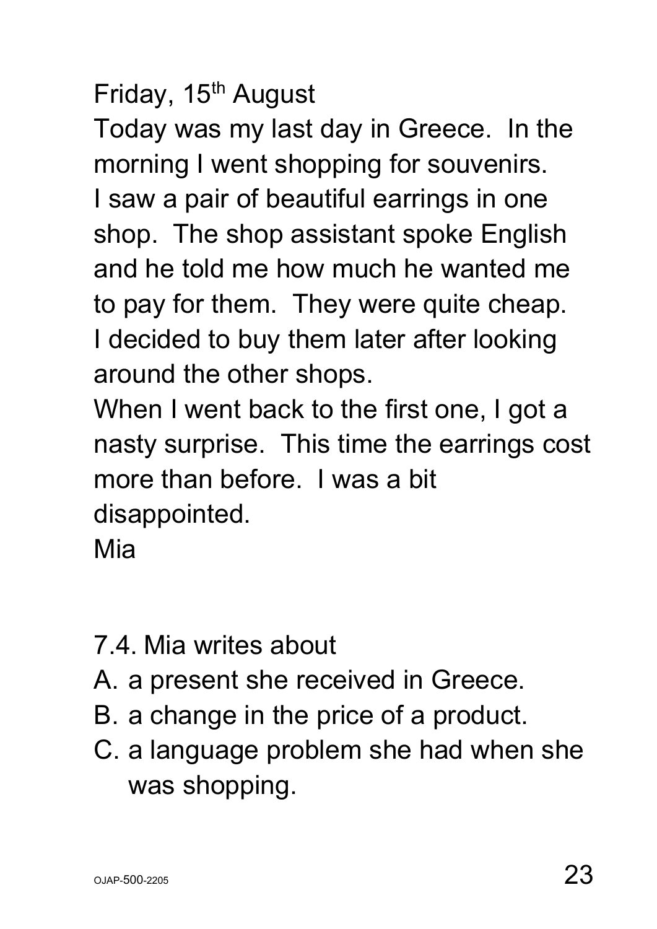Friday, 15<sup>th</sup> August

Today was my last day in Greece. In the morning I went shopping for souvenirs.

I saw a pair of beautiful earrings in one shop. The shop assistant spoke English and he told me how much he wanted me to pay for them. They were quite cheap. I decided to buy them later after looking around the other shops.

When I went back to the first one, I got a nasty surprise. This time the earrings cost more than before. I was a bit disappointed.

Mia

- 7.4. Mia writes about
- A. a present she received in Greece.
- B. a change in the price of a product.
- C. a language problem she had when she was shopping.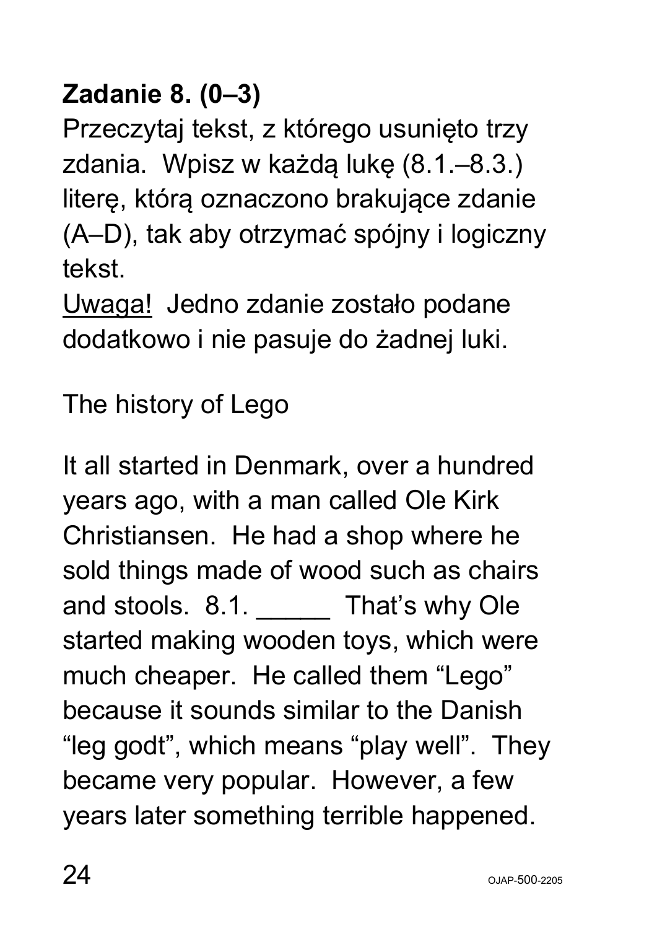### **Zadanie 8. (0–3)**

Przeczytaj tekst, z którego usunięto trzy zdania. Wpisz w każdą lukę (8.1.–8.3.) literę, którą oznaczono brakujące zdanie (A–D), tak aby otrzymać spójny i logiczny tekst.

Uwaga! Jedno zdanie zostało podane dodatkowo i nie pasuje do żadnej luki.

The history of Lego

It all started in Denmark, over a hundred years ago, with a man called Ole Kirk Christiansen. He had a shop where he sold things made of wood such as chairs and stools. 8.1. That's why Ole started making wooden toys, which were much cheaper. He called them "Lego" because it sounds similar to the Danish "leg godt", which means "play well". They became very popular. However, a few years later something terrible happened.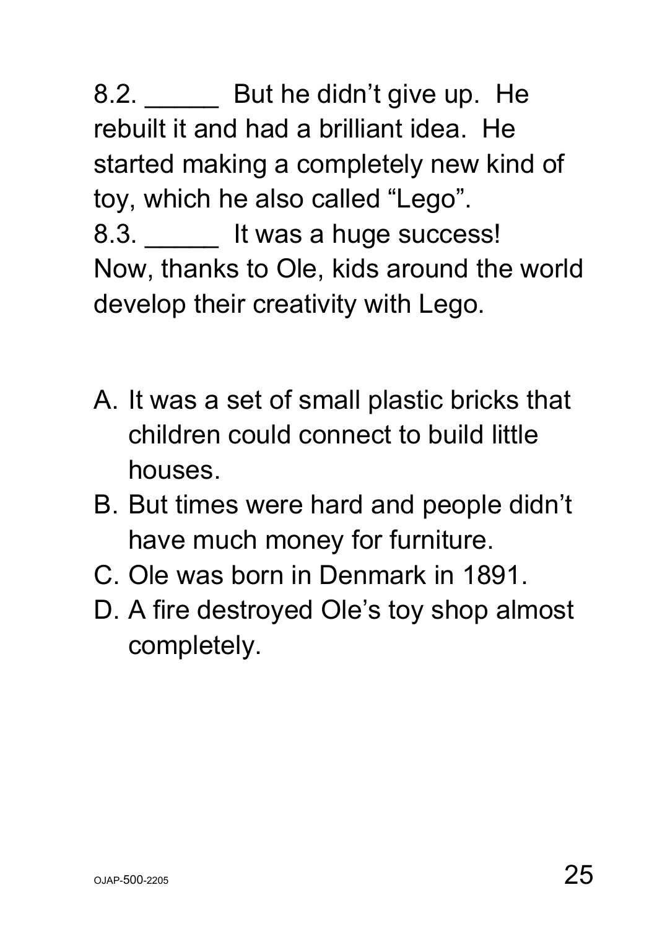8.2. But he didn't give up. He rebuilt it and had a brilliant idea. He started making a completely new kind of toy, which he also called "Lego". 8.3. **It was a huge success!** Now, thanks to Ole, kids around the world develop their creativity with Lego.

- A. It was a set of small plastic bricks that children could connect to build little houses.
- B. But times were hard and people didn't have much money for furniture.
- C. Ole was born in Denmark in 1891.
- D. A fire destroyed Ole's toy shop almost completely.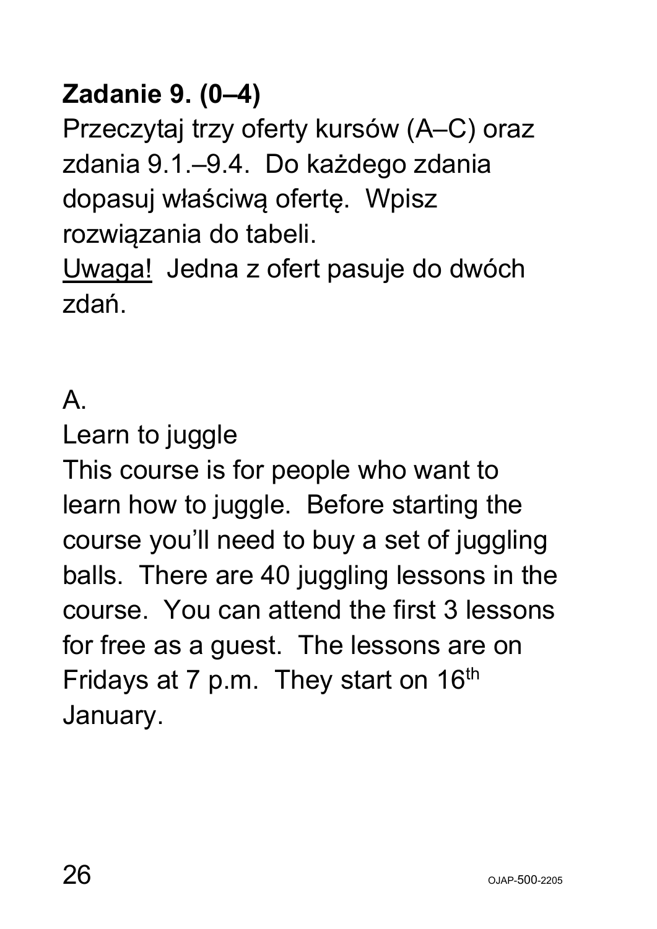#### **Zadanie 9. (0–4)**

Przeczytaj trzy oferty kursów (A–C) oraz zdania 9.1.–9.4. Do każdego zdania dopasuj właściwą ofertę. Wpisz rozwiązania do tabeli.

Uwaga! Jedna z ofert pasuje do dwóch zdań.

#### A.

Learn to juggle

This course is for people who want to learn how to juggle. Before starting the course you'll need to buy a set of juggling balls. There are 40 juggling lessons in the course. You can attend the first 3 lessons for free as a guest. The lessons are on Fridays at 7 p.m. They start on  $16<sup>th</sup>$ January.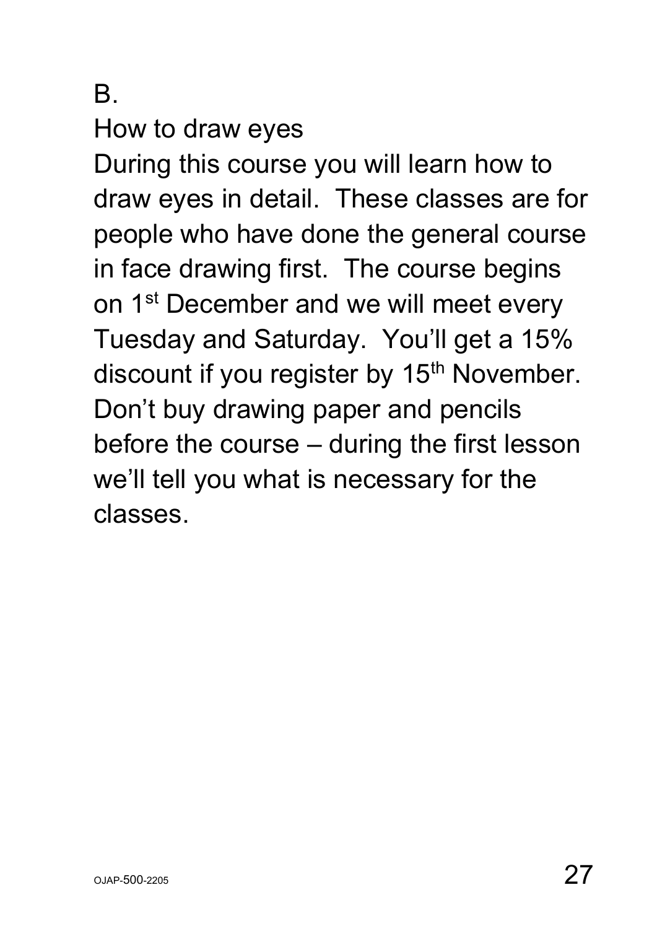B.

How to draw eyes

During this course you will learn how to draw eyes in detail. These classes are for people who have done the general course in face drawing first. The course begins on 1<sup>st</sup> December and we will meet every Tuesday and Saturday. You'll get a 15% discount if you register by 15<sup>th</sup> November. Don't buy drawing paper and pencils before the course – during the first lesson we'll tell you what is necessary for the classes.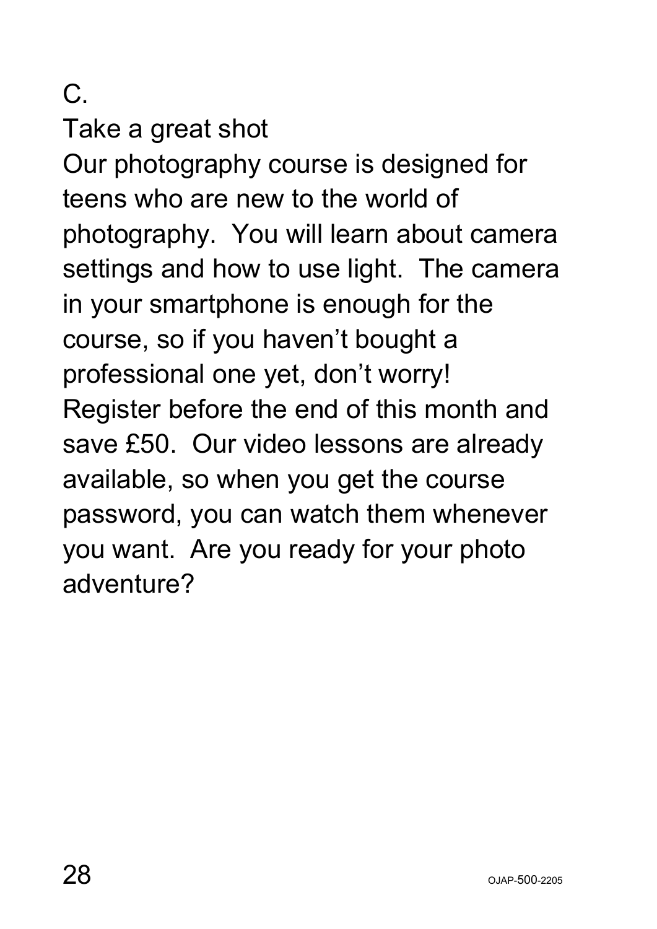C.

Take a great shot

Our photography course is designed for teens who are new to the world of photography. You will learn about camera settings and how to use light. The camera in your smartphone is enough for the course, so if you haven't bought a professional one yet, don't worry! Register before the end of this month and save £50. Our video lessons are already available, so when you get the course password, you can watch them whenever you want. Are you ready for your photo adventure?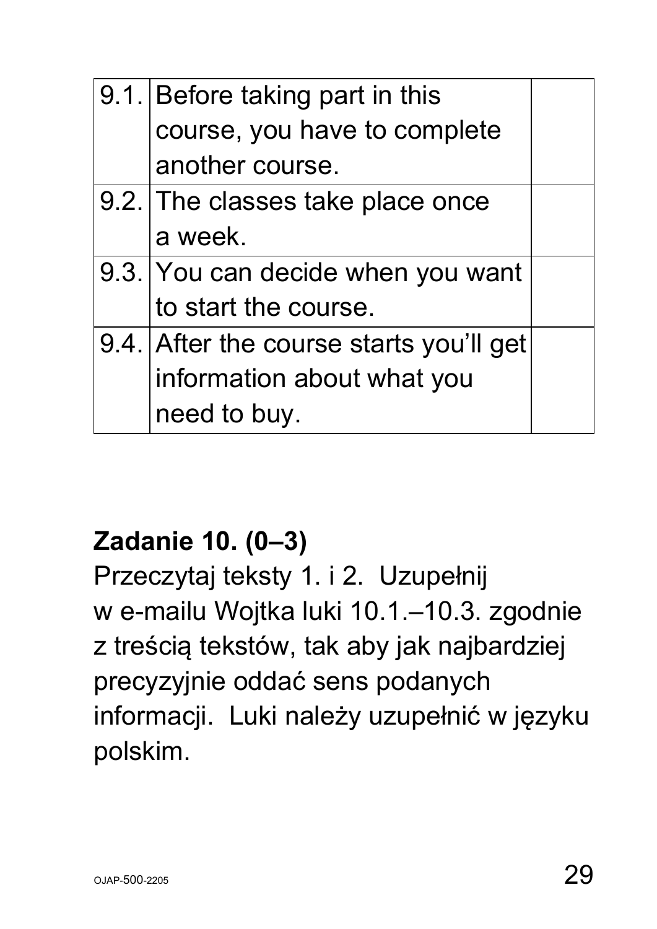| 9.1. Before taking part in this         |  |
|-----------------------------------------|--|
| course, you have to complete            |  |
| another course.                         |  |
| 9.2. The classes take place once        |  |
| a week.                                 |  |
| 9.3. You can decide when you want       |  |
| to start the course.                    |  |
| 9.4. After the course starts you'll get |  |
| information about what you              |  |
| need to buy.                            |  |

#### **Zadanie 10. (0–3)**

Przeczytaj teksty 1. i 2. Uzupełnij w e-mailu Wojtka luki 10.1.–10.3. zgodnie z treścią tekstów, tak aby jak najbardziej precyzyjnie oddać sens podanych informacji. Luki należy uzupełnić w języku polskim.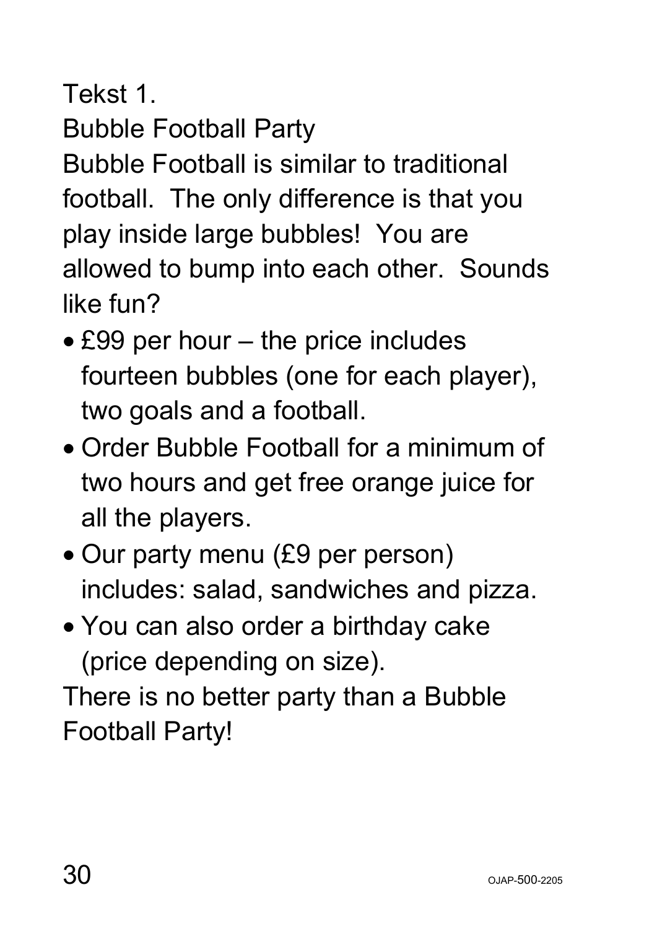Tekst 1.

Bubble Football Party

Bubble Football is similar to traditional football. The only difference is that you play inside large bubbles! You are allowed to bump into each other. Sounds like fun?

- £99 per hour the price includes fourteen bubbles (one for each player), two goals and a football.
- Order Bubble Football for a minimum of two hours and get free orange juice for all the players.
- Our party menu (£9 per person) includes: salad, sandwiches and pizza.
- You can also order a birthday cake (price depending on size).

There is no better party than a Bubble Football Party!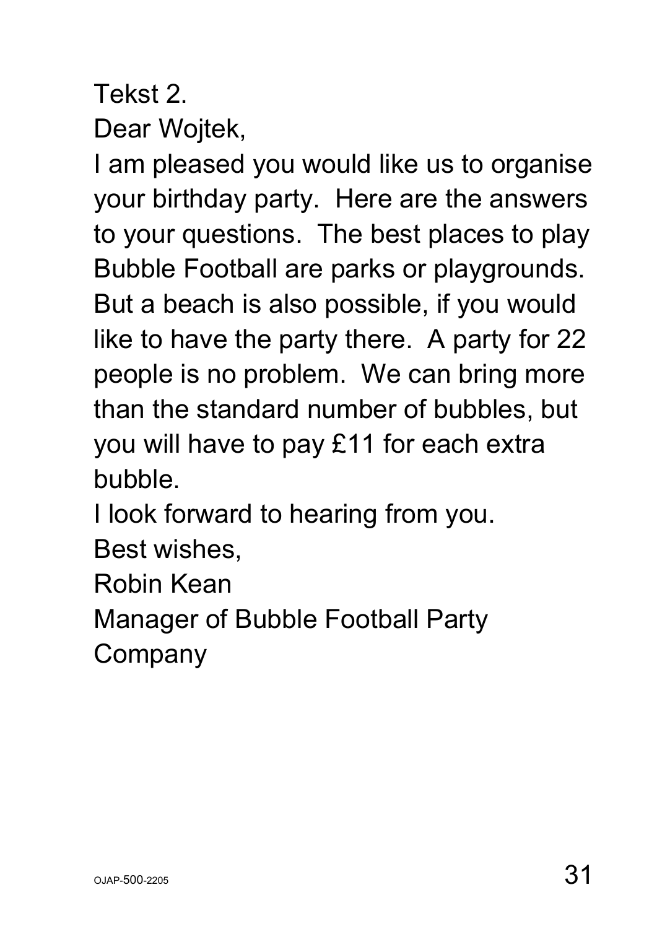#### Tekst 2. Dear Wojtek,

I am pleased you would like us to organise your birthday party. Here are the answers to your questions. The best places to play Bubble Football are parks or playgrounds. But a beach is also possible, if you would like to have the party there. A party for 22 people is no problem. We can bring more than the standard number of bubbles, but you will have to pay £11 for each extra bubble.

I look forward to hearing from you.

Best wishes,

Robin Kean

Manager of Bubble Football Party

**Company**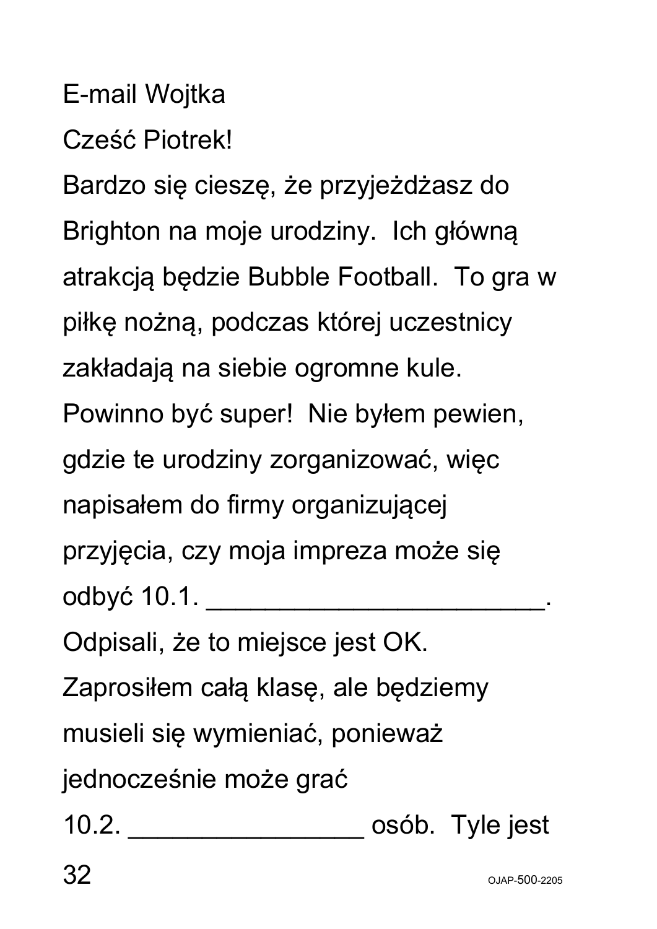E-mail Wojtka

Cześć Piotrek!

Bardzo się cieszę, że przyjeżdżasz do Brighton na moje urodziny. Ich główną atrakcją będzie Bubble Football. To gra w piłkę nożną, podczas której uczestnicy zakładają na siebie ogromne kule. Powinno być super! Nie byłem pewien, gdzie te urodziny zorganizować, więc napisałem do firmy organizującej przyjęcia, czy moja impreza może się odbyć 10.1. \_\_\_\_\_\_\_\_\_\_\_\_\_\_\_\_\_\_\_\_\_\_\_.

Odpisali, że to miejsce jest OK.

Zaprosiłem całą klasę, ale będziemy

musieli się wymieniać, ponieważ

jednocześnie może grać

10.2. \_\_\_\_\_\_\_\_\_\_\_\_\_\_\_\_ osób. Tyle jest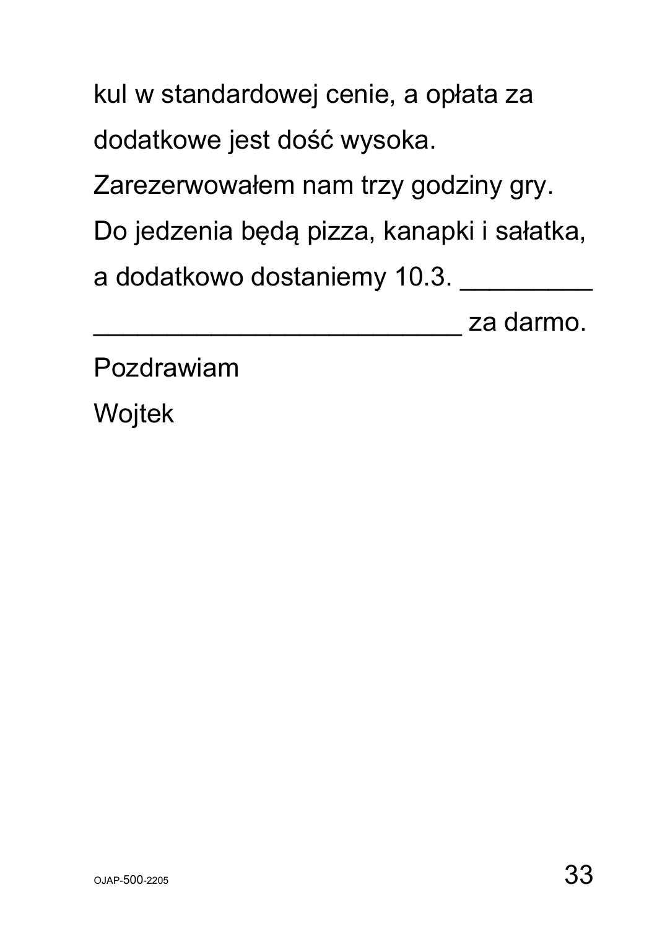kul w standardowej cenie, a opłata za dodatkowe jest dość wysoka.

Zarezerwowałem nam trzy godziny gry.

Do jedzenia będą pizza, kanapki i sałatka,

a dodatkowo dostaniemy 10.3.

\_\_\_\_\_\_\_\_\_\_\_\_\_\_\_\_\_\_\_\_\_\_\_\_\_ za darmo.

Pozdrawiam

Wojtek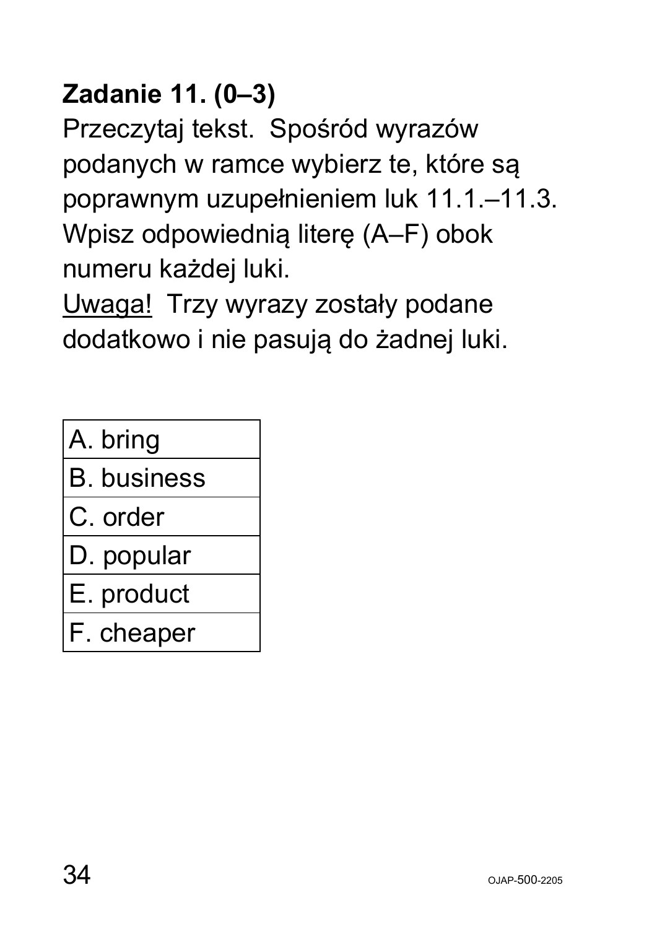# **Zadanie 11. (0–3)**

Przeczytaj tekst. Spośród wyrazów podanych w ramce wybierz te, które są poprawnym uzupełnieniem luk 11.1.–11.3. Wpisz odpowiednią literę (A–F) obok numeru każdej luki.

Uwaga! Trzy wyrazy zostały podane dodatkowo i nie pasują do żadnej luki.

| A. bring |  |
|----------|--|
|----------|--|

B. business

- C. order
- D. popular

E. product

F. cheaper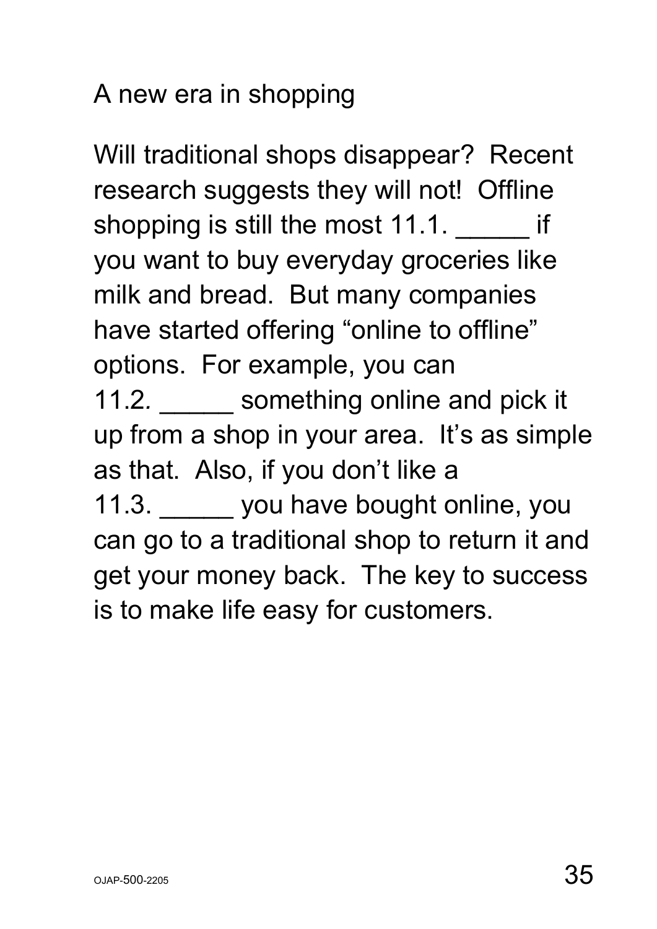#### A new era in shopping

Will traditional shops disappear? Recent research suggests they will not! Offline shopping is still the most 11.1. **The inter**you want to buy everyday groceries like milk and bread. But many companies have started offering "online to offline" options. For example, you can 11.2. something online and pick it up from a shop in your area. It's as simple as that. Also, if you don't like a 11.3. you have bought online, you can go to a traditional shop to return it and get your money back. The key to success is to make life easy for customers.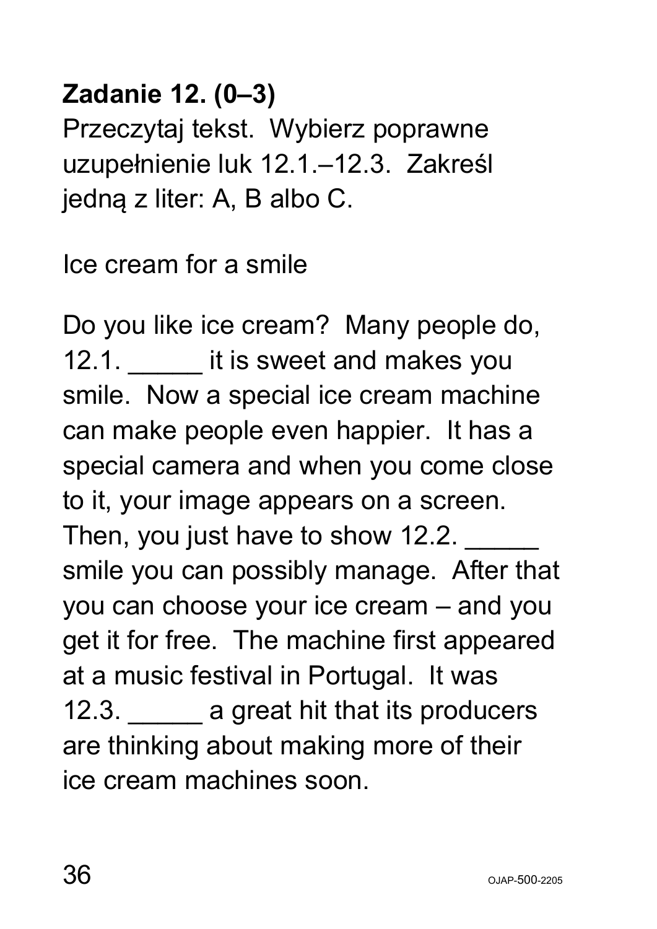#### **Zadanie 12. (0–3)**

Przeczytaj tekst. Wybierz poprawne uzupełnienie luk 12.1.–12.3. Zakreśl jedną z liter: A, B albo C.

Ice cream for a smile

Do you like ice cream? Many people do, 12.1. **I** it is sweet and makes you smile. Now a special ice cream machine can make people even happier. It has a special camera and when you come close to it, your image appears on a screen. Then, you just have to show 12.2. smile you can possibly manage. After that you can choose your ice cream – and you get it for free. The machine first appeared at a music festival in Portugal. It was 12.3. **a** great hit that its producers are thinking about making more of their ice cream machines soon.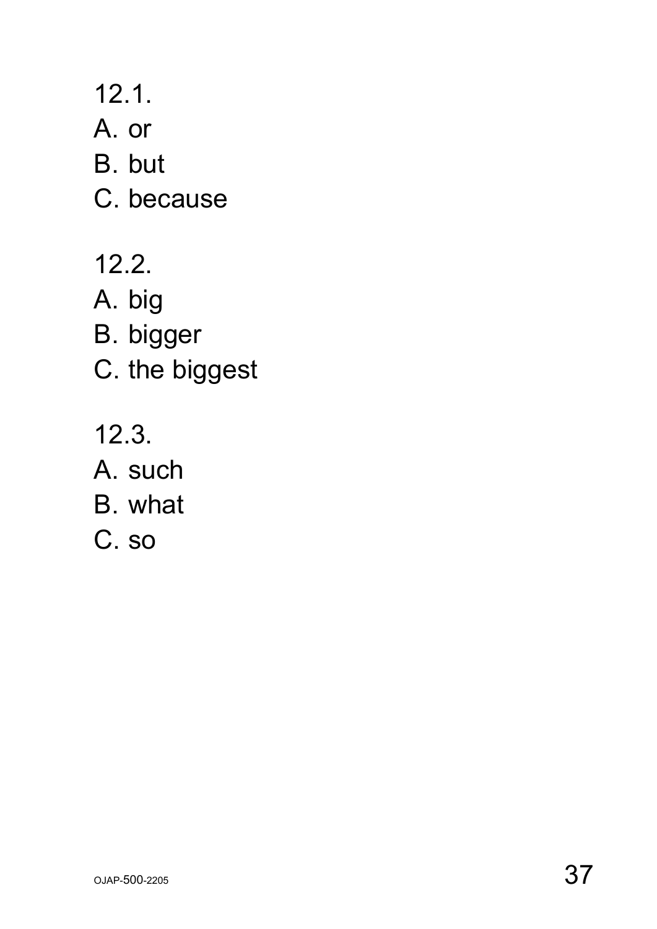12.1.

A. or

B. but

C. because

12.2.

A. big

B. bigger

C. the biggest

12.3.

A. such

B. what

C. so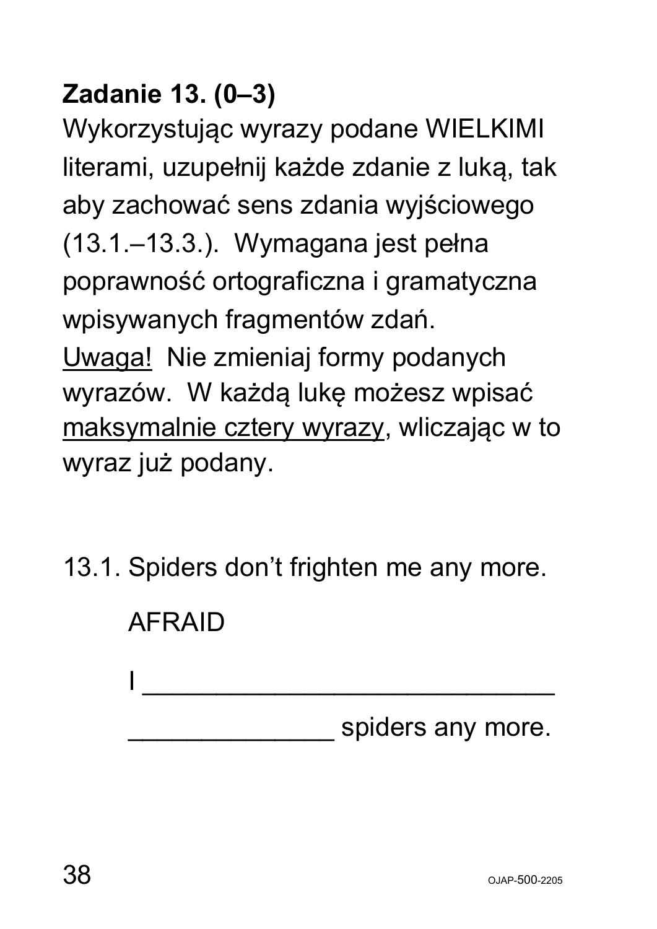### **Zadanie 13. (0–3)**

Wykorzystując wyrazy podane WIELKIMI literami, uzupełnij każde zdanie z luką, tak aby zachować sens zdania wyjściowego (13.1.–13.3.). Wymagana jest pełna poprawność ortograficzna i gramatyczna wpisywanych fragmentów zdań. Uwaga! Nie zmieniaj formy podanych wyrazów. W każdą lukę możesz wpisać maksymalnie cztery wyrazy, wliczając w to wyraz już podany.

13.1. Spiders don't frighten me any more.

| <b>AFRAID</b> |                   |
|---------------|-------------------|
|               |                   |
|               | spiders any more. |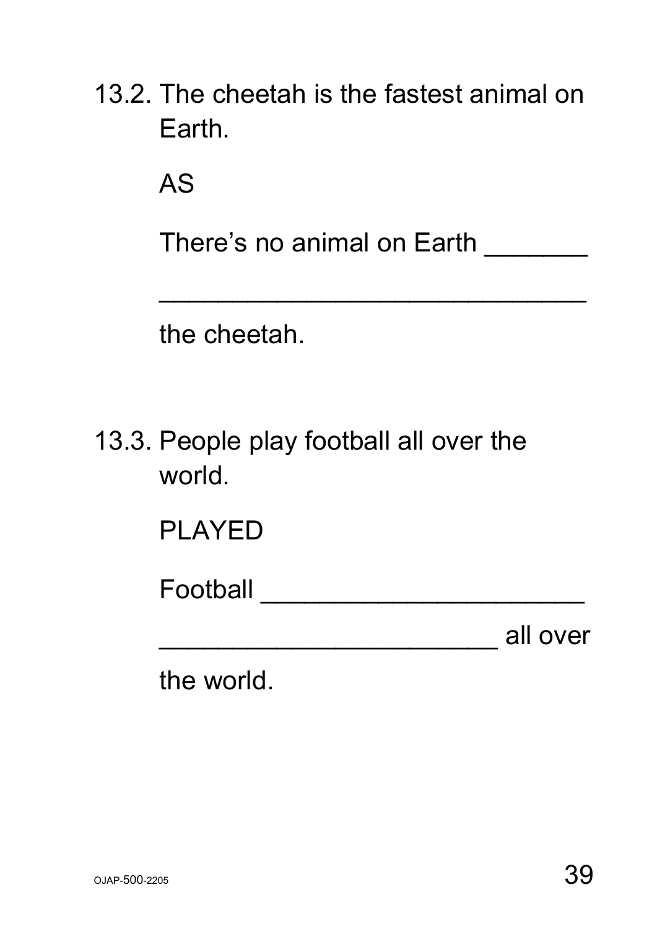| 13.2. The cheetah is the fastest animal on |  |  |
|--------------------------------------------|--|--|
| Earth.                                     |  |  |

AS

There's no animal on Earth \_\_\_\_\_\_\_

 $\mathcal{L}_\text{max}$  and  $\mathcal{L}_\text{max}$  and  $\mathcal{L}_\text{max}$  and  $\mathcal{L}_\text{max}$  and  $\mathcal{L}_\text{max}$ 

the cheetah.

| 13.3. People play football all over the |  |  |  |
|-----------------------------------------|--|--|--|
| world.                                  |  |  |  |

PLAYED

Football \_\_\_\_\_\_\_\_\_\_\_\_\_\_\_\_\_\_\_\_\_\_

\_\_\_\_\_\_\_\_\_\_\_\_\_\_\_\_\_\_\_\_\_\_\_ all over

the world.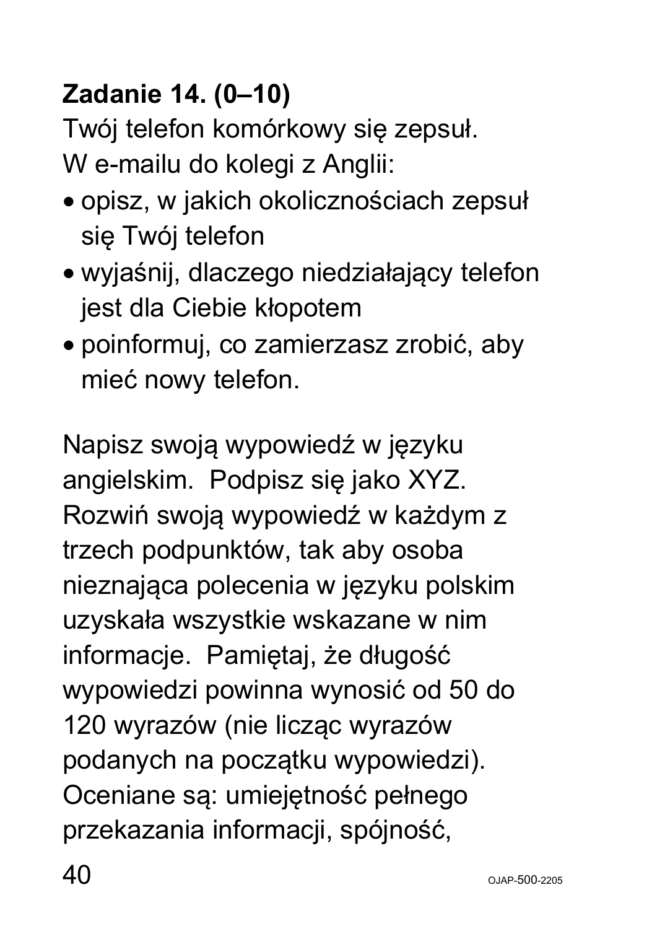# **Zadanie 14. (0–10)**

Twój telefon komórkowy się zepsuł. W e-mailu do kolegi z Anglii:

- opisz, w jakich okolicznościach zepsuł się Twój telefon
- wyjaśnij, dlaczego niedziałający telefon jest dla Ciebie kłopotem
- poinformuj, co zamierzasz zrobić, aby mieć nowy telefon.

Napisz swoją wypowiedź w języku angielskim. Podpisz się jako XYZ. Rozwiń swoją wypowiedź w każdym z trzech podpunktów, tak aby osoba nieznająca polecenia w języku polskim uzyskała wszystkie wskazane w nim informacje. Pamiętaj, że długość wypowiedzi powinna wynosić od 50 do 120 wyrazów (nie licząc wyrazów podanych na początku wypowiedzi). Oceniane są: umiejętność pełnego przekazania informacji, spójność,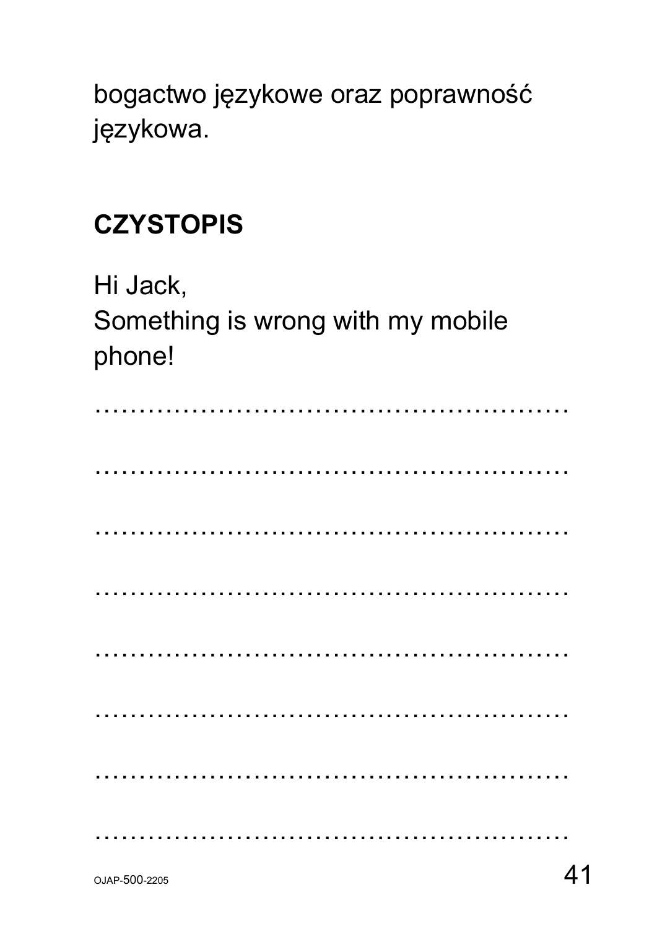bogactwo językowe oraz poprawność językowa.

#### **CZYSTOPIS**

Hi Jack, Something is wrong with my mobile phone!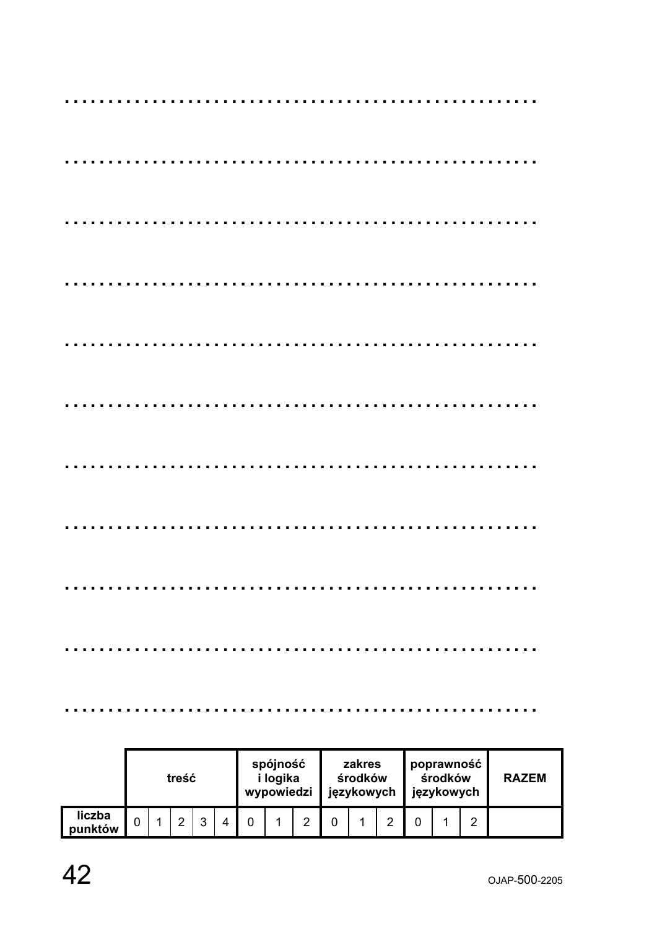|                   |          | treść |   |   | spójność<br>i logika<br>wypowiedzi |   | zakres<br>środków<br>językowych |  | poprawność<br>środków<br>językowych | <b>RAZEM</b> |  |
|-------------------|----------|-------|---|---|------------------------------------|---|---------------------------------|--|-------------------------------------|--------------|--|
| liczba<br>punktów | $\Omega$ |       | ົ | 4 |                                    | ົ |                                 |  |                                     | ⌒            |  |